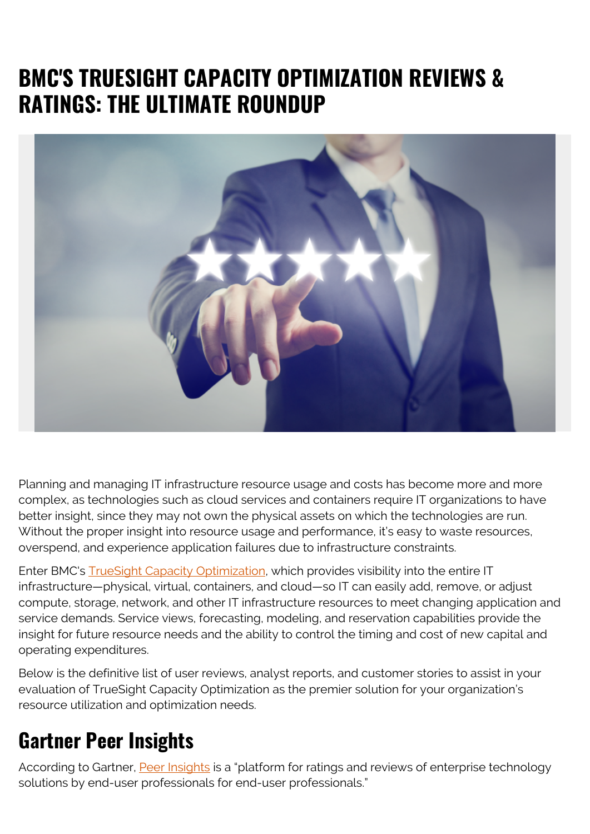# **BMC'S TRUESIGHT CAPACITY OPTIMIZATION REVIEWS & RATINGS: THE ULTIMATE ROUNDUP**



Planning and managing IT infrastructure resource usage and costs has become more and more complex, as technologies such as cloud services and containers require IT organizations to have better insight, since they may not own the physical assets on which the technologies are run. Without the proper insight into resource usage and performance, it's easy to waste resources, overspend, and experience application failures due to infrastructure constraints.

Enter BMC's **TrueSight Capacity Optimization**, which provides visibility into the entire IT infrastructure—physical, virtual, containers, and cloud—so IT can easily add, remove, or adjust compute, storage, network, and other IT infrastructure resources to meet changing application and service demands. Service views, forecasting, modeling, and reservation capabilities provide the insight for future resource needs and the ability to control the timing and cost of new capital and operating expenditures.

Below is the definitive list of user reviews, analyst reports, and customer stories to assist in your evaluation of TrueSight Capacity Optimization as the premier solution for your organization's resource utilization and optimization needs.

#### **Gartner Peer Insights**

According to Gartner, [Peer Insights](http://www.gartner.com/technology/research/magic-quadrants/peer-insights.jsp) is a "platform for ratings and reviews of enterprise technology solutions by end-user professionals for end-user professionals."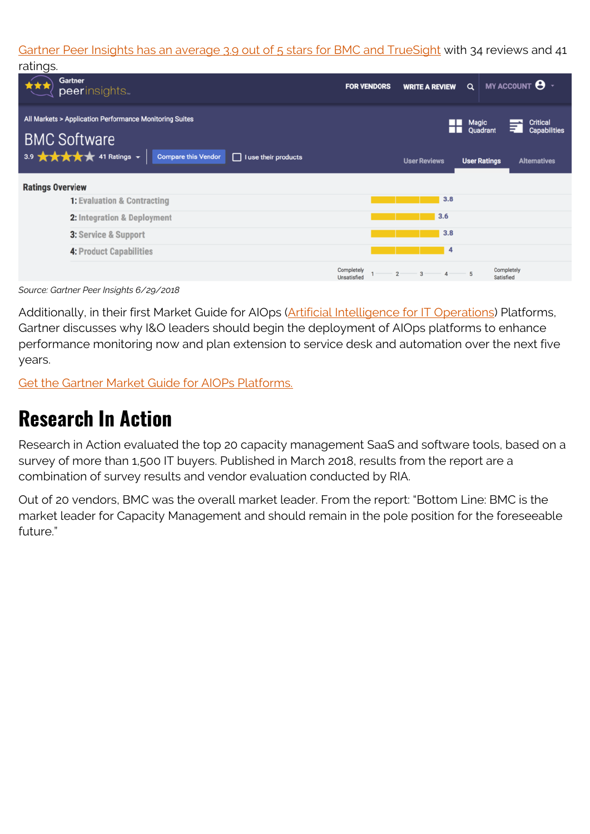[Gartner Peer Insights has an average 3.9 out of 5 stars for BMC and TrueSight](https://www.gartner.com/reviews/market/apm/vendor/bmc) with 34 reviews and 41 ratings

| ratiriyə.                                                                      |                                                                                     |                                                    |                       |                          |                                        |
|--------------------------------------------------------------------------------|-------------------------------------------------------------------------------------|----------------------------------------------------|-----------------------|--------------------------|----------------------------------------|
|                                                                                | Gartner<br>peerinsights.                                                            | <b>FOR VENDORS</b>                                 | <b>WRITE A REVIEW</b> | $\alpha$                 | MY ACCOUNT $\Theta$ -                  |
| All Markets > Application Performance Monitoring Suites<br><b>BMC Software</b> |                                                                                     |                                                    |                       | <b>Magic</b><br>Quadrant | <b>Critical</b><br><b>Capabilities</b> |
|                                                                                | 3.9 ★★★★★ 41 Ratings ~<br><b>Compare this Vendor</b><br>$\Box$ I use their products |                                                    | <b>User Reviews</b>   | <b>User Ratings</b>      | <b>Alternatives</b>                    |
| <b>Ratings Overview</b>                                                        |                                                                                     |                                                    |                       |                          |                                        |
|                                                                                | <b>1:</b> Evaluation & Contracting                                                  |                                                    | 3.8                   |                          |                                        |
|                                                                                | 2: Integration & Deployment                                                         |                                                    | 3.6                   |                          |                                        |
|                                                                                | 3: Service & Support                                                                |                                                    | 3.8                   |                          |                                        |
|                                                                                | 4: Product Capabilities                                                             |                                                    | 4                     |                          |                                        |
|                                                                                |                                                                                     | Completely<br>$\overline{2}$<br><b>Unsatisfied</b> | 3                     | 5<br>Satisfied           | Completely                             |

*Source: Gartner Peer Insights 6/29/2018*

Additionally, in their first Market Guide for AIOps ([Artificial Intelligence for IT Operations](https://www.bmc.com/it-solutions/aiops.html)) Platforms, Gartner discusses why I&O leaders should begin the deployment of AIOps platforms to enhance performance monitoring now and plan extension to service desk and automation over the next five years.

[Get the Gartner Market Guide for AIOPs Platforms.](https://www.bmc.com/forms/tools-and-strategies-for-effective-aiops.html)

#### **Research In Action**

Research in Action evaluated the top 20 capacity management SaaS and software tools, based on a survey of more than 1,500 IT buyers. Published in March 2018, results from the report are a combination of survey results and vendor evaluation conducted by RIA.

Out of 20 vendors, BMC was the overall market leader. From the report: "Bottom Line: BMC is the market leader for Capacity Management and should remain in the pole position for the foreseeable future."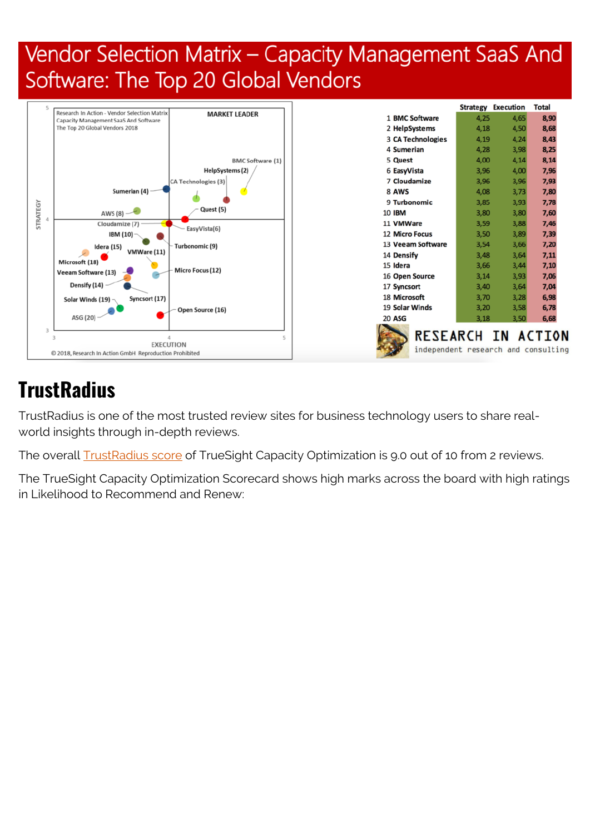## Vendor Selection Matrix - Capacity Management SaaS And Software: The Top 20 Global Vendors



|                          |      | <b>Strategy Execution</b> | <b>Total</b> |
|--------------------------|------|---------------------------|--------------|
| 1 BMC Software           | 4,25 | 4,65                      | 8,90         |
| 2 HelpSystems            | 4,18 | 4,50                      | 8,68         |
| <b>3 CA Technologies</b> | 4,19 | 4,24                      | 8,43         |
| 4 Sumerian               | 4,28 | 3,98                      | 8,25         |
| 5 Quest                  | 4,00 | 4,14                      | 8,14         |
| 6 EasyVista              | 3,96 | 4,00                      | 7,96         |
| 7 Cloudamize             | 3,96 | 3,96                      | 7,93         |
| 8 AWS                    | 4,08 | 3,73                      | 7,80         |
| 9 Turbonomic             | 3,85 | 3,93                      | 7,78         |
| 10 IBM                   | 3,80 | 3,80                      | 7,60         |
| 11 VMWare                | 3,59 | 3,88                      | 7,46         |
| <b>12 Micro Focus</b>    | 3,50 | 3,89                      | 7,39         |
| 13 Veeam Software        | 3,54 | 3,66                      | 7,20         |
| 14 Densify               | 3,48 | 3,64                      | 7,11         |
| 15 Idera                 | 3,66 | 3,44                      | 7,10         |
| 16 Open Source           | 3,14 | 3,93                      | 7,06         |
| 17 Syncsort              | 3,40 | 3,64                      | 7,04         |
| 18 Microsoft             | 3,70 | 3,28                      | 6,98         |
| 19 Solar Winds           | 3,20 | 3,58                      | 6,78         |
| <b>20 ASG</b>            | 3,18 | 3,50                      | 6,68         |
| <b>RESEARCH</b>          |      | I N                       | <b>ACTIO</b> |

independent research and consulting

N

## **TrustRadius**

TrustRadius is one of the most trusted review sites for business technology users to share realworld insights through in-depth reviews.

The overall **TrustRadius score of TrueSight Capacity Optimization is 9.0 out of 10 from 2 reviews.** 

The TrueSight Capacity Optimization Scorecard shows high marks across the board with high ratings in Likelihood to Recommend and Renew: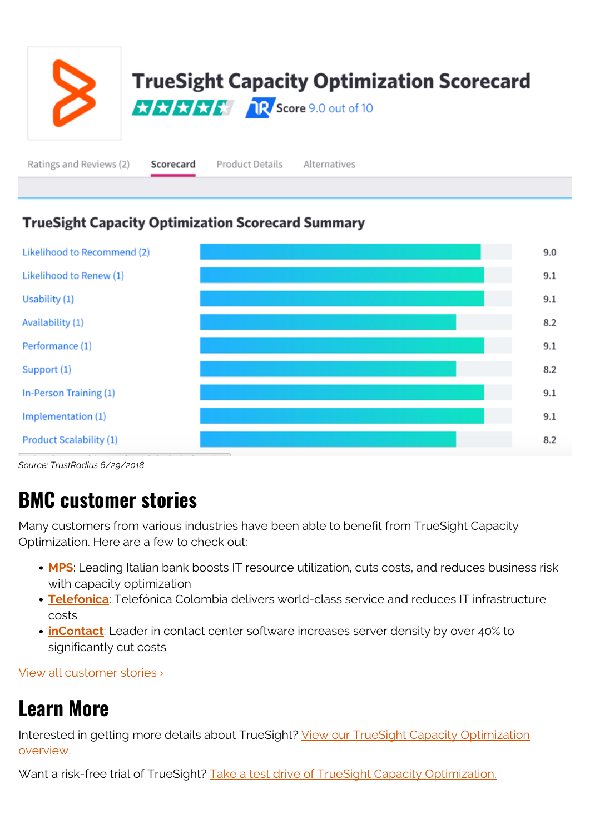

Ratings and Reviews (2)

Scorecard

**Product Details** 

Alternatives

#### **TrueSight Capacity Optimization Scorecard Summary**



*Source: TrustRadius 6/29/2018*

## **BMC customer stories**

Many customers from various industries have been able to benefit from TrueSight Capacity Optimization. Here are a few to check out:

- **[MPS](https://blogs.bmc.com/customers/mps.html)**: Leading Italian bank boosts IT resource utilization, cuts costs, and reduces business risk with capacity optimization
- **[Telefonica](https://blogs.bmc.com/customers/telefonica-colombia.html)**: Telefónica Colombia delivers world-class service and reduces IT infrastructure costs
- **[inContact](https://blogs.bmc.com/customers/incontact.html)**: Leader in contact center software increases server density by over 40% to significantly cut costs

[View all customer stories ›](https://blogs.bmc.com/customers/success-stories.html)

## **Learn More**

Interested in getting more details about TrueSight? [View our TrueSight Capacity Optimization](https://www.bmc.com/it-solutions/capacity-optimization.html) [overview.](https://www.bmc.com/it-solutions/capacity-optimization.html)

Want a risk-free trial of TrueSight? [Take a test drive of TrueSight Capacity Optimization.](https://blogs.bmc.com/forms/truesight-capacity-optimization-trial.html)